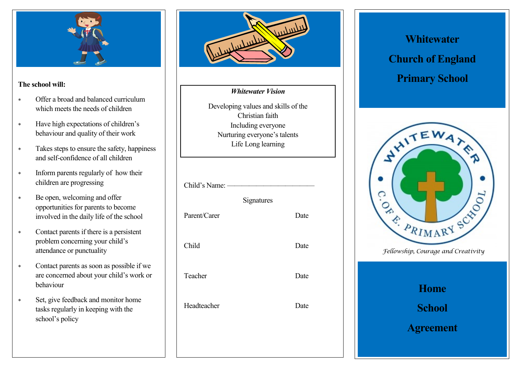

#### **The school will:**

- Offer a broad and balanced curriculum which meets the needs of children
- Have high expectations of children's behaviour and quality of their work
- Takes steps to ensure the safety, happiness and self-confidence of all children
- \* Inform parents regularly of how their children are progressing
- Be open, welcoming and offer opportunities for parents to become involved in the daily life of the school
- Contact parents if there is a persistent problem concerning your child's attendance or punctuality
- Contact parents as soon as possible if we are concerned about your child's work or behaviour
- Set, give feedback and monitor home tasks regularly in keeping with the school's policy



#### *Whitewater Vision*

Developing values and skills of the Christian faith Including everyone Nurturing everyone's talents Life Long learning

| Child's Name: — |            |      |
|-----------------|------------|------|
|                 | Signatures |      |
| Parent/Carer    |            | Date |
| Child           |            | Date |
| Teacher         |            | Date |
| Headteacher     |            | Date |
|                 |            |      |

# **Whitewater Church of England Primary School**



| <b>Home</b>      |
|------------------|
| School           |
| <b>Agreement</b> |